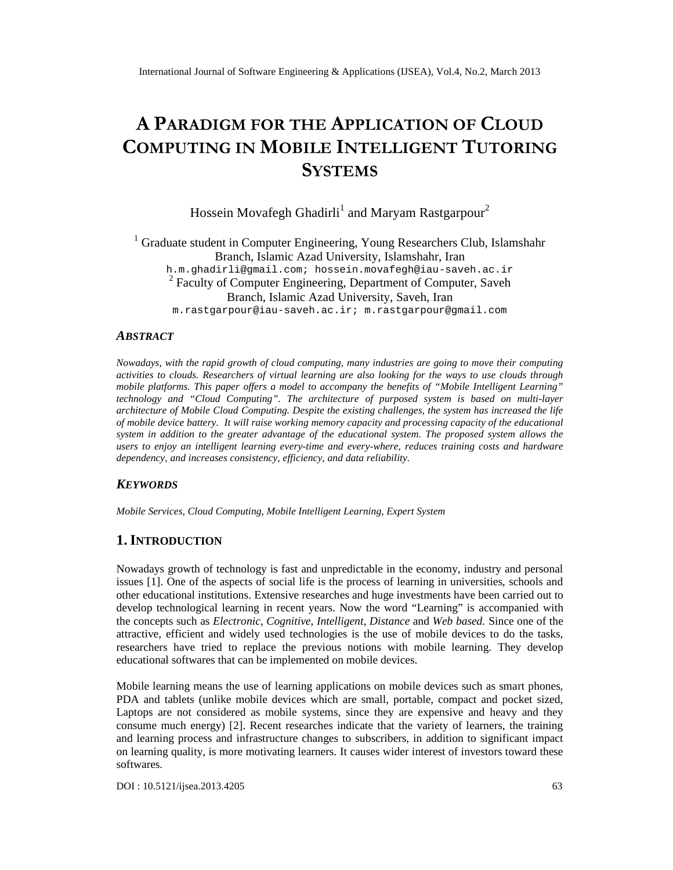# APARADIGM FOR APPREICATION CLOOFUD COMPUTING MOBIL ENTELLIGE NUTORING **SYSTEMS**

Hossein Movafegh Ghadiłland Maryam Rastgarpour

 $1$  Graduate student in Computer Engineering, Young Researchers Club, Islamshahr Branch, Islamic Azad Universityslamshahr, Iran<br>di@amail.com: hossein.movafegh@iau \_\_\_\_\_\_\_\_\_\_\_\_\_saveh.ac.ir h.m.[ghadirli@gmail.com; hoss](mailto:ghadirli@gmail.com)ein.movafegh@iau <sup>2</sup> Faculty of Computer Engineering, Department of Computeve **S** Branch, Islamic Azad University, Savelhan m.[rastgarpour@iau](mailto:rastgarpour@iau-saveh.ac) - saveh.ac.ir; m.rastg[arpour@gmail.com](mailto:rastgarpour@gmail.com)

## ABSTRACT

Nowadays, with the rapid growth of cloud computing, many industries are going to move their computing activities to clouds. Researchers of virtual learning are also looking for the ways to use clouds through mobile platforms. Tis paperoffers a model to accompany the benefits abobile Intelligent Learning technology and€Cloud Computing. The architectureof purposed systems based on multiayer architecture of Mobile Cloud Computing. Despite the existing challenges, the system has increased the life of mobile device battery t will raise working memory capacity and processing capacity of the eduabtion systemin addition to the greater advantage of the educational system proposed system allows the users to enjoy an intelligent learning everime and everywhere, reduces training costand hardware dependency and increases consistency, effing, and data reliability

## **KEYWORDS**

Mobile Services, Cloud Computing, Mobile Intelligent Learning, Expert System

# 1.I NTRODUCTION

Nowadays growth of technology fast and unpredictable the economy, industry and personal issues [1]. One of the aspect sociallife is the process of learning in universities, schools and other educational institution Extensive researches and huge investments been carried out to develop technological learning recent yearsNow the word€Learning is accompaned with the concepts such assectronic Cognitive Intelligent, DistanceandWeb based Since one of the attractive, efficient and widely used chnologiesis the use of mobile devices to do the tasks, researchers have tried to replace the previous rection mobile learning. They develop educational softwares that can be implemented on mobile devices.

Mobile learning means the use of learning applications on mobile devices such rtaphomes, PDA and tablets unlike mobile devices which are small propole, compact and pocket sized, Laptops are not considered as mobilestems, since they are expensive and heavy and they consume much energy) [2]. Recent researches indicate that the variety of learners, the training and learning process and infrasture changes to subscribers, in addition to significant impact on learning quality, is more motivating learners auses wider interest of investors toward these softwares.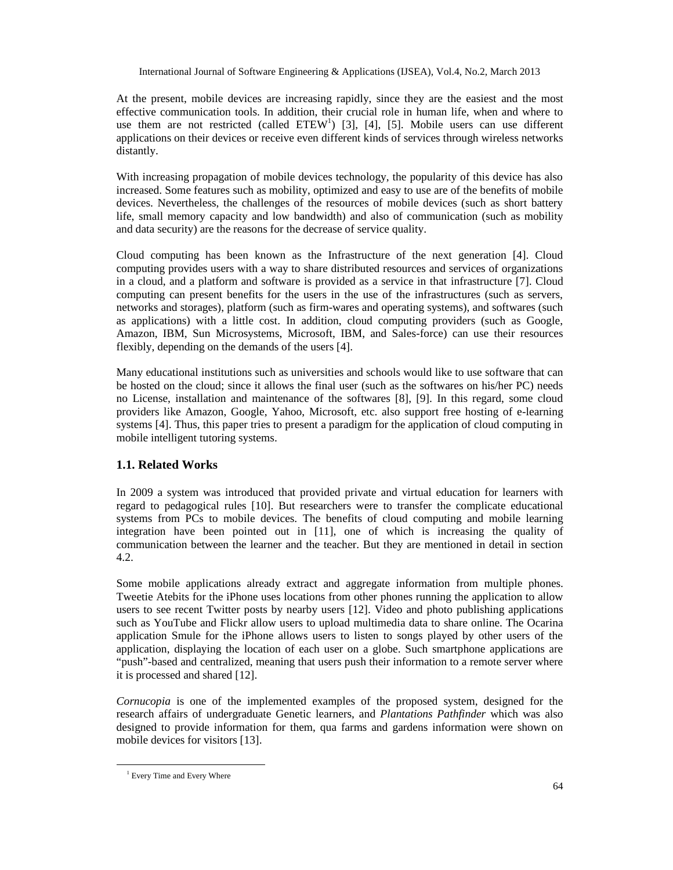At the present, mobile devices are increasing rapidly, since they are the easiest and the most effective communication tools. In addition, their crucial role in human life, when and where to use them are not restricted (called  $ETEW<sup>1</sup>$ ) [3], [4], [5]. Mobile users can use different applications on their devices or receive even different kinds of services through wireless networks distantly.

With increasing propagation of mobile devices technology, the popularity of this device has also increased. Some features such as mobility, optimized and easy to use are of the benefits of mobile devices. Nevertheless, the challenges of the resources of mobile devices (such as short battery life, small memory capacity and low bandwidth) and also of communication (such as mobility and data security) are the reasons for the decrease of service quality.

Cloud computing has been known as the Infrastructure of the next generation [4]. Cloud computing provides users with a way to share distributed resources and services of organizations in a cloud, and a platform and software is provided as a service in that infrastructure [7]. Cloud computing can present benefits for the users in the use of the infrastructures (such as servers, networks and storages), platform (such as firm-wares and operating systems), and softwares (such as applications) with a little cost. In addition, cloud computing providers (such as Google, Amazon, IBM, Sun Microsystems, Microsoft, IBM, and Sales-force) can use their resources flexibly, depending on the demands of the users [4].

Many educational institutions such as universities and schools would like to use software that can be hosted on the cloud; since it allows the final user (such as the softwares on his/her PC) needs no License, installation and maintenance of the softwares [8], [9]. In this regard, some cloud providers like Amazon, Google, Yahoo, Microsoft, etc. also support free hosting of e-learning systems [4]. Thus, this paper tries to present a paradigm for the application of cloud computing in mobile intelligent tutoring systems.

# **1.1. Related Works**

In 2009 a system was introduced that provided private and virtual education for learners with regard to pedagogical rules [10]. But researchers were to transfer the complicate educational systems from PCs to mobile devices. The benefits of cloud computing and mobile learning integration have been pointed out in [11], one of which is increasing the quality of communication between the learner and the teacher. But they are mentioned in detail in section 4.2.

Some mobile applications already extract and aggregate information from multiple phones. Tweetie Atebits for the iPhone uses locations from other phones running the application to allow users to see recent Twitter posts by nearby users [12]. Video and photo publishing applications such as YouTube and Flickr allow users to upload multimedia data to share online. The Ocarina application Smule for the iPhone allows users to listen to songs played by other users of the application, displaying the location of each user on a globe. Such smartphone applications are "push"-based and centralized, meaning that users push their information to a remote server where it is processed and shared [12].

*Cornucopia* is one of the implemented examples of the proposed system, designed for the research affairs of undergraduate Genetic learners, and *Plantations Pathfinder* which was also designed to provide information for them, qua farms and gardens information were shown on mobile devices for visitors [13].

<sup>&</sup>lt;sup>1</sup> Every Time and Every Where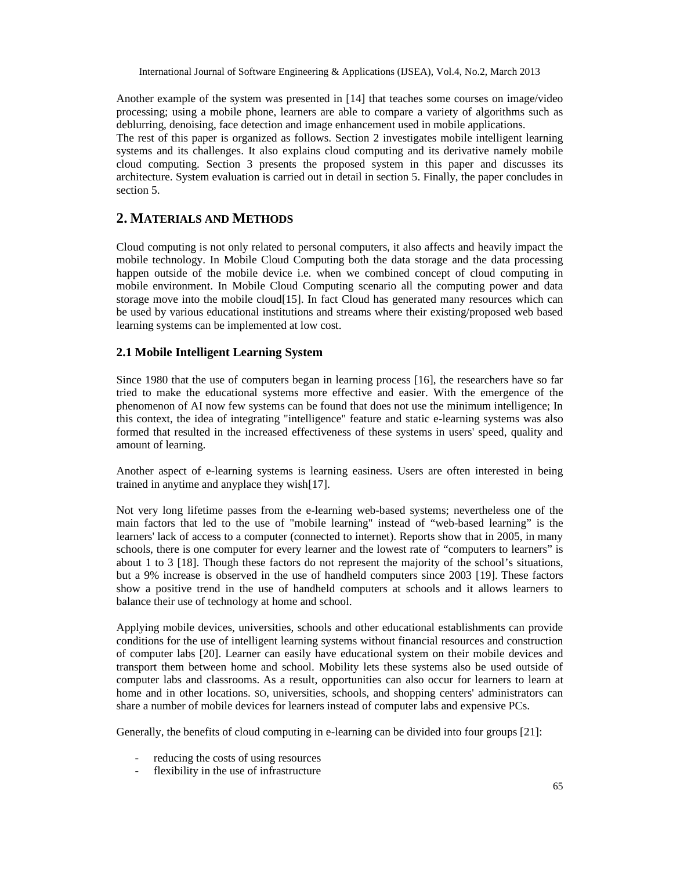Another example of the system was presented in [14] that teaches some courses on image/video processing; using a mobile phone, learners are able to compare a variety of algorithms such as deblurring, denoising, face detection and image enhancement used in mobile applications.

The rest of this paper is organized as follows. Section 2 investigates mobile intelligent learning systems and its challenges. It also explains cloud computing and its derivative namely mobile cloud computing. Section 3 presents the proposed system in this paper and discusses its architecture. System evaluation is carried out in detail in section 5. Finally, the paper concludes in section 5.

## **2. MATERIALS AND METHODS**

Cloud computing is not only related to personal computers, it also affects and heavily impact the mobile technology. In Mobile Cloud Computing both the data storage and the data processing happen outside of the mobile device i.e. when we combined concept of cloud computing in mobile environment. In Mobile Cloud Computing scenario all the computing power and data storage move into the mobile cloud[15]. In fact Cloud has generated many resources which can be used by various educational institutions and streams where their existing/proposed web based learning systems can be implemented at low cost.

#### **2.1 Mobile Intelligent Learning System**

Since 1980 that the use of computers began in learning process [16], the researchers have so far tried to make the educational systems more effective and easier. With the emergence of the phenomenon of AI now few systems can be found that does not use the minimum intelligence; In this context, the idea of integrating "intelligence" feature and static e-learning systems was also formed that resulted in the increased effectiveness of these systems in users' speed, quality and amount of learning.

Another aspect of e-learning systems is learning easiness. Users are often interested in being trained in anytime and anyplace they wish[17].

Not very long lifetime passes from the e-learning web-based systems; nevertheless one of the main factors that led to the use of "mobile learning" instead of "web-based learning" is the learners' lack of access to a computer (connected to internet). Reports show that in 2005, in many schools, there is one computer for every learner and the lowest rate of "computers to learners" is about 1 to 3 [18]. Though these factors do not represent the majority of the school's situations, but a 9% increase is observed in the use of handheld computers since 2003 [19]. These factors show a positive trend in the use of handheld computers at schools and it allows learners to balance their use of technology at home and school.

Applying mobile devices, universities, schools and other educational establishments can provide conditions for the use of intelligent learning systems without financial resources and construction of computer labs [20]. Learner can easily have educational system on their mobile devices and transport them between home and school. Mobility lets these systems also be used outside of computer labs and classrooms. As a result, opportunities can also occur for learners to learn at home and in other locations. SO, universities, schools, and shopping centers' administrators can share a number of mobile devices for learners instead of computer labs and expensive PCs.

Generally, the benefits of cloud computing in e-learning can be divided into four groups [21]:

- reducing the costs of using resources
- flexibility in the use of infrastructure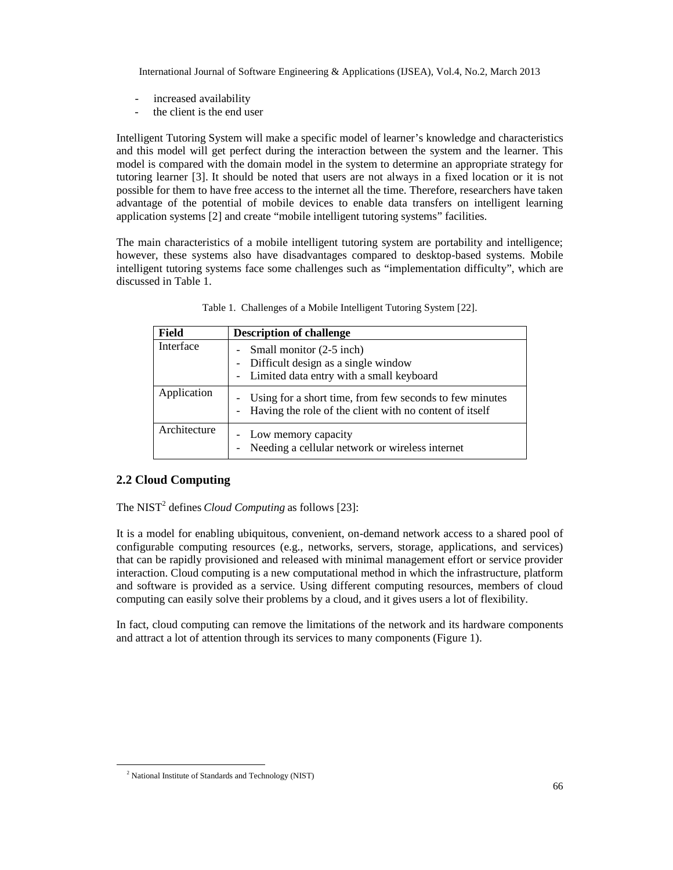- increased availability
- the client is the end user

Intelligent Tutoring System will make a specific model of learner's knowledge and characteristics and this model will get perfect during the interaction between the system and the learner. This model is compared with the domain model in the system to determine an appropriate strategy for tutoring learner [3]. It should be noted that users are not always in a fixed location or it is not possible for them to have free access to the internet all the time. Therefore, researchers have taken advantage of the potential of mobile devices to enable data transfers on intelligent learning application systems [2] and create "mobile intelligent tutoring systems" facilities.

The main characteristics of a mobile intelligent tutoring system are portability and intelligence; however, these systems also have disadvantages compared to desktop-based systems. Mobile intelligent tutoring systems face some challenges such as "implementation difficulty", which are discussed in Table 1.

| <b>Field</b> | <b>Description of challenge</b>                                                                                        |
|--------------|------------------------------------------------------------------------------------------------------------------------|
| Interface    | Small monitor (2-5 inch)<br>- Difficult design as a single window<br>- Limited data entry with a small keyboard        |
| Application  | - Using for a short time, from few seconds to few minutes<br>- Having the role of the client with no content of itself |
| Architecture | - Low memory capacity<br>Needing a cellular network or wireless internet                                               |

Table 1. Challenges of a Mobile Intelligent Tutoring System [22].

# **2.2 Cloud Computing**

The NIST<sup>2</sup> defines *Cloud Computing* as follows [23]:

It is a model for enabling ubiquitous, convenient, on-demand network access to a shared pool of configurable computing resources (e.g., networks, servers, storage, applications, and services) that can be rapidly provisioned and released with minimal management effort or service provider interaction. Cloud computing is a new computational method in which the infrastructure, platform and software is provided as a service. Using different computing resources, members of cloud computing can easily solve their problems by a cloud, and it gives users a lot of flexibility.

In fact, cloud computing can remove the limitations of the network and its hardware components and attract a lot of attention through its services to many components (Figure 1).

<sup>2</sup> National Institute of Standards and Technology (NIST)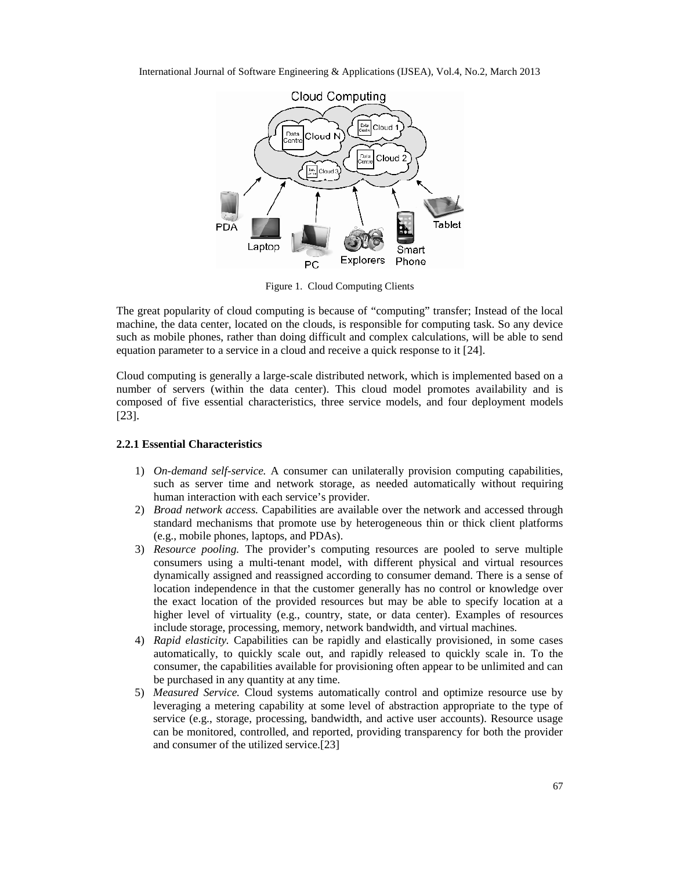

Figure 1. Cloud Computing Clients

The great popularity of cloud computing is because of "computing" transfer; Instead of the local machine, the data center, located on the clouds, is responsible for computing task. So any device such as mobile phones, rather than doing difficult and complex calculations, will be able to send equation parameter to a service in a cloud and receive a quick response to it [24].

Cloud computing is generally a large-scale distributed network, which is implemented based on a number of servers (within the data center). This cloud model promotes availability and is composed of five essential characteristics, three service models, and four deployment models [23].

#### **2.2.1 Essential Characteristics**

- 1) *On-demand self-service.* A consumer can unilaterally provision computing capabilities, such as server time and network storage, as needed automatically without requiring human interaction with each service's provider.
- 2) *Broad network access.* Capabilities are available over the network and accessed through standard mechanisms that promote use by heterogeneous thin or thick client platforms (e.g., mobile phones, laptops, and PDAs).
- 3) *Resource pooling.* The provider's computing resources are pooled to serve multiple consumers using a multi-tenant model, with different physical and virtual resources dynamically assigned and reassigned according to consumer demand. There is a sense of location independence in that the customer generally has no control or knowledge over the exact location of the provided resources but may be able to specify location at a higher level of virtuality (e.g., country, state, or data center). Examples of resources include storage, processing, memory, network bandwidth, and virtual machines.
- 4) *Rapid elasticity.* Capabilities can be rapidly and elastically provisioned, in some cases automatically, to quickly scale out, and rapidly released to quickly scale in. To the consumer, the capabilities available for provisioning often appear to be unlimited and can be purchased in any quantity at any time.
- 5) *Measured Service.* Cloud systems automatically control and optimize resource use by leveraging a metering capability at some level of abstraction appropriate to the type of service (e.g., storage, processing, bandwidth, and active user accounts). Resource usage can be monitored, controlled, and reported, providing transparency for both the provider and consumer of the utilized service.[23]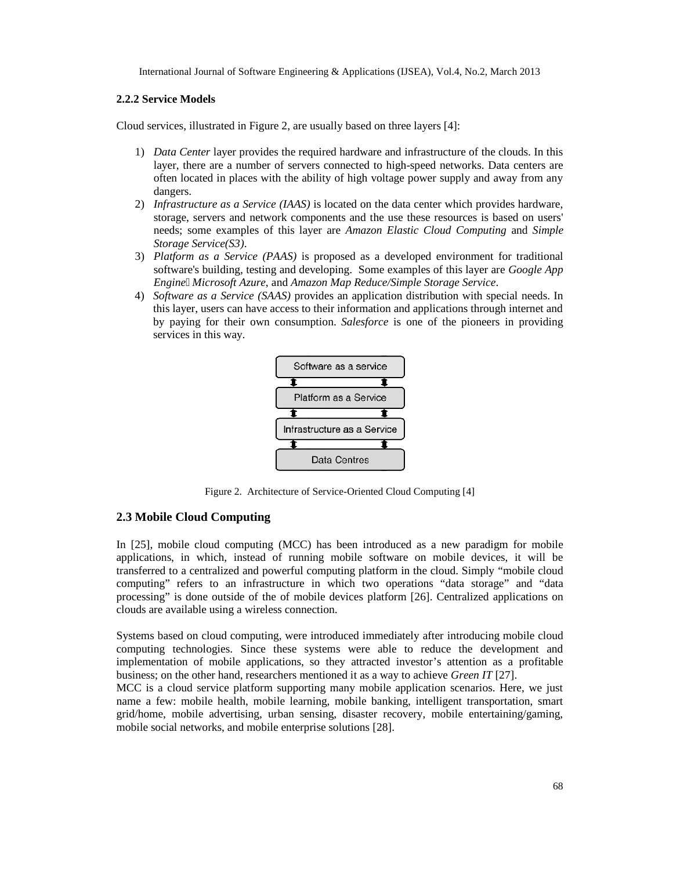#### **2.2.2 Service Models**

Cloud services, illustrated in Figure 2, are usually based on three layers [4]:

- 1) *Data Center* layer provides the required hardware and infrastructure of the clouds. In this layer, there are a number of servers connected to high-speed networks. Data centers are often located in places with the ability of high voltage power supply and away from any dangers.
- 2) *Infrastructure as a Service (IAAS)* is located on the data center which provides hardware, storage, servers and network components and the use these resources is based on users' needs; some examples of this layer are *Amazon Elastic Cloud Computing* and *Simple Storage Service(S3)*.
- 3) *Platform as a Service (PAAS)* is proposed as a developed environment for traditional software's building, testing and developing. Some examples of this layer are *Google App Engine Microsoft Azure*, and *Amazon Map Reduce/Simple Storage Service*.
- 4) *Software as a Service (SAAS)* provides an application distribution with special needs. In this layer, users can have access to their information and applications through internet and by paying for their own consumption. *Salesforce* is one of the pioneers in providing services in this way.



Figure 2. Architecture of Service-Oriented Cloud Computing [4]

## **2.3 Mobile Cloud Computing**

In [25], mobile cloud computing (MCC) has been introduced as a new paradigm for mobile applications, in which, instead of running mobile software on mobile devices, it will be transferred to a centralized and powerful computing platform in the cloud. Simply "mobile cloud computing" refers to an infrastructure in which two operations "data storage" and "data processing" is done outside of the of mobile devices platform [26]. Centralized applications on clouds are available using a wireless connection.

Systems based on cloud computing, were introduced immediately after introducing mobile cloud computing technologies. Since these systems were able to reduce the development and implementation of mobile applications, so they attracted investor's attention as a profitable business; on the other hand, researchers mentioned it as a way to achieve *Green IT* [27].

MCC is a cloud service platform supporting many mobile application scenarios. Here, we just name a few: mobile health, mobile learning, mobile banking, intelligent transportation, smart grid/home, mobile advertising, urban sensing, disaster recovery, mobile entertaining/gaming, mobile social networks, and mobile enterprise solutions [28].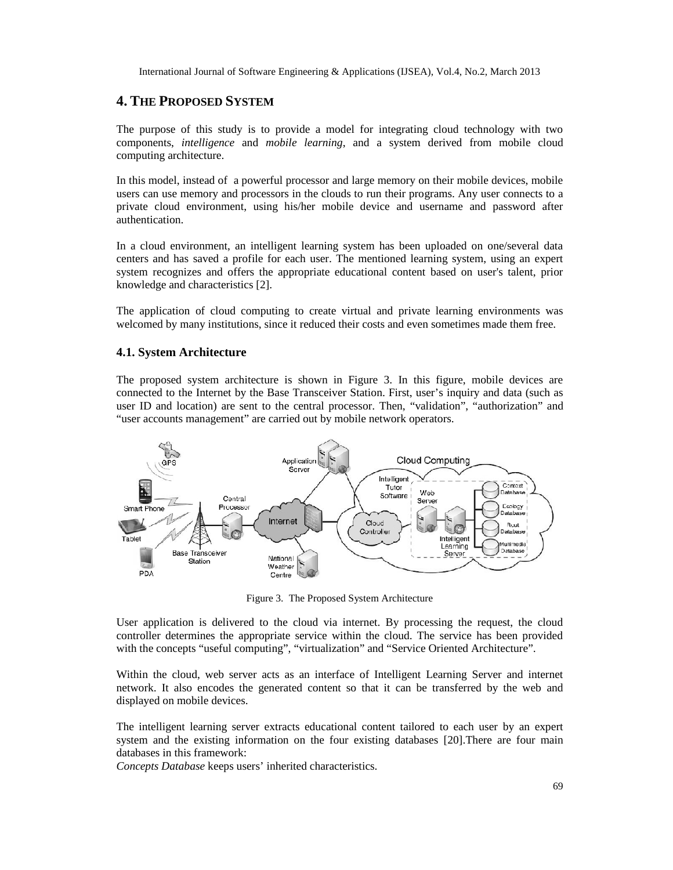## **4. THE PROPOSED SYSTEM**

The purpose of this study is to provide a model for integrating cloud technology with two components, *intelligence* and *mobile learning*, and a system derived from mobile cloud computing architecture.

In this model, instead of a powerful processor and large memory on their mobile devices, mobile users can use memory and processors in the clouds to run their programs. Any user connects to a private cloud environment, using his/her mobile device and username and password after authentication.

In a cloud environment, an intelligent learning system has been uploaded on one/several data centers and has saved a profile for each user. The mentioned learning system, using an expert system recognizes and offers the appropriate educational content based on user's talent, prior knowledge and characteristics [2].

The application of cloud computing to create virtual and private learning environments was welcomed by many institutions, since it reduced their costs and even sometimes made them free.

#### **4.1. System Architecture**

The proposed system architecture is shown in Figure 3. In this figure, mobile devices are connected to the Internet by the Base Transceiver Station. First, user's inquiry and data (such as user ID and location) are sent to the central processor. Then, "validation", "authorization" and "user accounts management" are carried out by mobile network operators.



Figure 3. The Proposed System Architecture

User application is delivered to the cloud via internet. By processing the request, the cloud controller determines the appropriate service within the cloud. The service has been provided with the concepts "useful computing", "virtualization" and "Service Oriented Architecture".

Within the cloud, web server acts as an interface of Intelligent Learning Server and internet network. It also encodes the generated content so that it can be transferred by the web and displayed on mobile devices.

The intelligent learning server extracts educational content tailored to each user by an expert system and the existing information on the four existing databases [20].There are four main databases in this framework:

*Concepts Database* keeps users' inherited characteristics.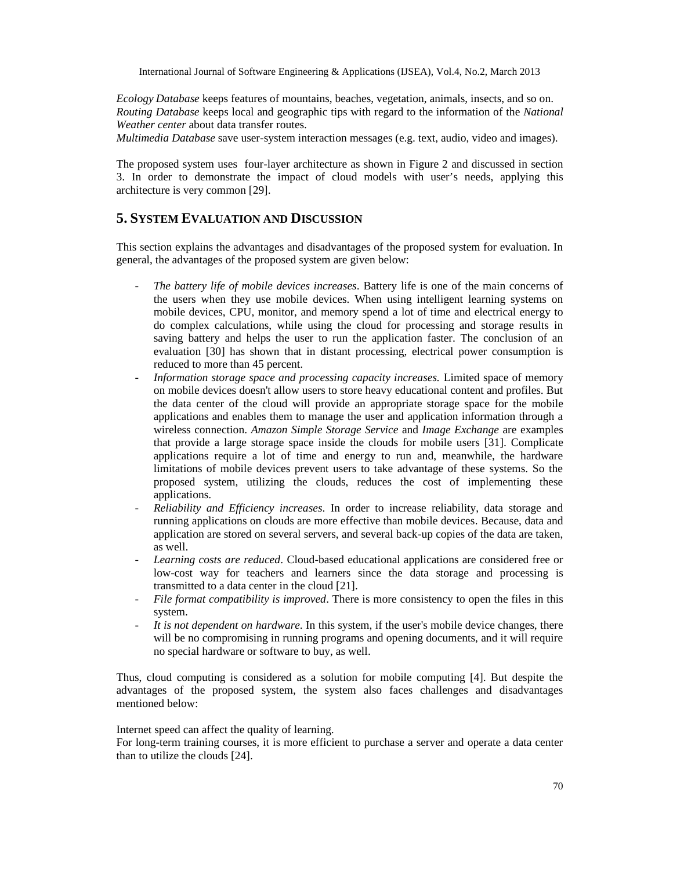*Ecology Database* keeps features of mountains, beaches, vegetation, animals, insects, and so on. *Routing Database* keeps local and geographic tips with regard to the information of the *National Weather center* about data transfer routes.

*Multimedia Database* save user-system interaction messages (e.g. text, audio, video and images).

The proposed system uses four-layer architecture as shown in Figure 2 and discussed in section 3. In order to demonstrate the impact of cloud models with user's needs, applying this architecture is very common [29].

# **5. SYSTEM EVALUATION AND DISCUSSION**

This section explains the advantages and disadvantages of the proposed system for evaluation. In general, the advantages of the proposed system are given below:

- *The battery life of mobile devices increases*. Battery life is one of the main concerns of the users when they use mobile devices. When using intelligent learning systems on mobile devices, CPU, monitor, and memory spend a lot of time and electrical energy to do complex calculations, while using the cloud for processing and storage results in saving battery and helps the user to run the application faster. The conclusion of an evaluation [30] has shown that in distant processing, electrical power consumption is reduced to more than 45 percent.
- *Information storage space and processing capacity increases.* Limited space of memory on mobile devices doesn't allow users to store heavy educational content and profiles. But the data center of the cloud will provide an appropriate storage space for the mobile applications and enables them to manage the user and application information through a wireless connection. *Amazon Simple Storage Service* and *Image Exchange* are examples that provide a large storage space inside the clouds for mobile users [31]. Complicate applications require a lot of time and energy to run and, meanwhile, the hardware limitations of mobile devices prevent users to take advantage of these systems. So the proposed system, utilizing the clouds, reduces the cost of implementing these applications.
- *Reliability and Efficiency increases*. In order to increase reliability, data storage and running applications on clouds are more effective than mobile devices. Because, data and application are stored on several servers, and several back-up copies of the data are taken, as well.
- *Learning costs are reduced*. Cloud-based educational applications are considered free or low-cost way for teachers and learners since the data storage and processing is transmitted to a data center in the cloud [21].
- *File format compatibility is improved*. There is more consistency to open the files in this system.
- *It is not dependent on hardware*. In this system, if the user's mobile device changes, there will be no compromising in running programs and opening documents, and it will require no special hardware or software to buy, as well.

Thus, cloud computing is considered as a solution for mobile computing [4]. But despite the advantages of the proposed system, the system also faces challenges and disadvantages mentioned below:

Internet speed can affect the quality of learning.

For long-term training courses, it is more efficient to purchase a server and operate a data center than to utilize the clouds [24].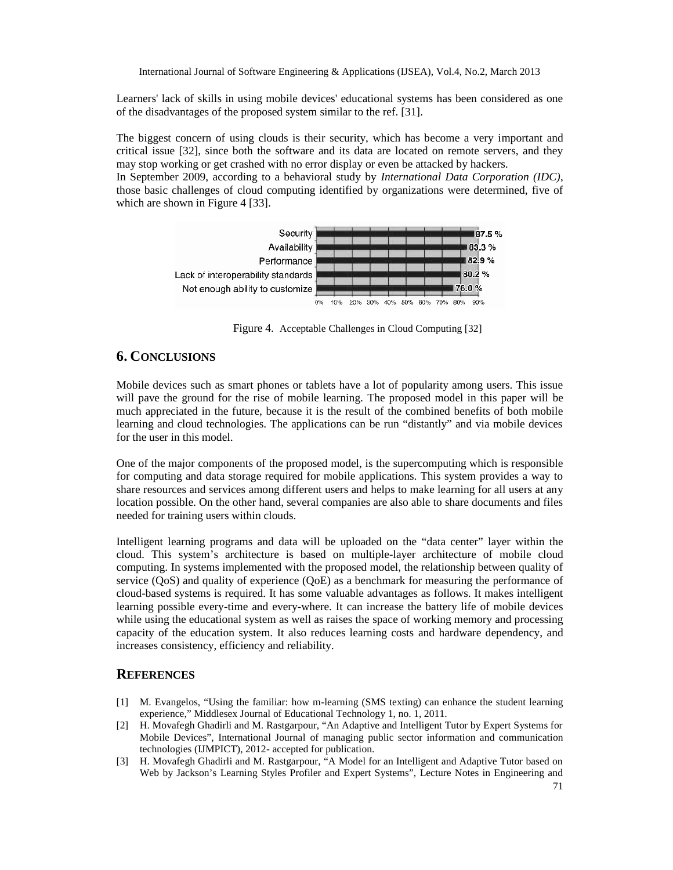Learners' lack of skills in using mobile devices' educational systems has been considered as one of the disadvantages of the proposed system similar to the ref. [31].

The biggest concern of using clouds is their security, which has become a very important and critical issue [32], since both the software and its data are located on remote servers, and they may stop working or get crashed with no error display or even be attacked by hackers. In September 2009, according to a behavioral study by *International Data Corporation (IDC)*, those basic challenges of cloud computing identified by organizations were determined, five of which are shown in Figure 4 [33].



Figure 4. Acceptable Challenges in Cloud Computing [32]

# **6. CONCLUSIONS**

Mobile devices such as smart phones or tablets have a lot of popularity among users. This issue will pave the ground for the rise of mobile learning. The proposed model in this paper will be much appreciated in the future, because it is the result of the combined benefits of both mobile learning and cloud technologies. The applications can be run "distantly" and via mobile devices for the user in this model.

One of the major components of the proposed model, is the supercomputing which is responsible for computing and data storage required for mobile applications. This system provides a way to share resources and services among different users and helps to make learning for all users at any location possible. On the other hand, several companies are also able to share documents and files needed for training users within clouds.

Intelligent learning programs and data will be uploaded on the "data center" layer within the cloud. This system's architecture is based on multiple-layer architecture of mobile cloud computing. In systems implemented with the proposed model, the relationship between quality of service (QoS) and quality of experience (QoE) as a benchmark for measuring the performance of cloud-based systems is required. It has some valuable advantages as follows. It makes intelligent learning possible every-time and every-where. It can increase the battery life of mobile devices while using the educational system as well as raises the space of working memory and processing capacity of the education system. It also reduces learning costs and hardware dependency, and increases consistency, efficiency and reliability.

## **REFERENCES**

- [1] M. Evangelos, "Using the familiar: how m-learning (SMS texting) can enhance the student learning experience," Middlesex Journal of Educational Technology 1, no. 1, 2011.
- [2] H. Movafegh Ghadirli and M. Rastgarpour, "An Adaptive and Intelligent Tutor by Expert Systems for Mobile Devices", International Journal of managing public sector information and communication technologies (IJMPICT), 2012- accepted for publication.
- [3] H. Movafegh Ghadirli and M. Rastgarpour, "A Model for an Intelligent and Adaptive Tutor based on Web by Jackson's Learning Styles Profiler and Expert Systems", Lecture Notes in Engineering and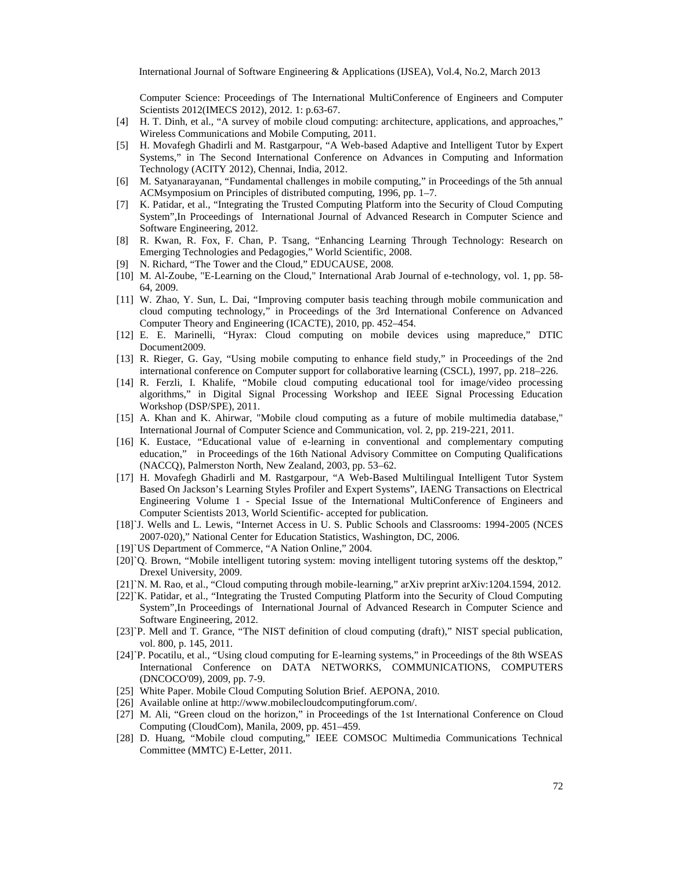Computer Science: Proceedings of The International MultiConference of Engineers and Computer Scientists 2012(IMECS 2012), 2012. 1: p.658.

- [4] H. T. Dinh, et al., €A survey of mobile cloud computing that ecture, applications, and approaches,• Wireless Communications and Mobile Computing, 2011.
- [5] H. Movafegh Ghadirli and M. Rastgarpour, €A Websed Adaptive and Intelligent Tutor by Expert Systems,• in The Second International Conference on Advamcesomputing and Information Technology (ACITY 2012), Chennai, India, 2012.
- [6] M. Satyanarayanan, €Fundamental challenges in mobile computing,• in Proceedings of the 5th annual ACMsymposium on Principles of distributed computing, 1996, pp. 1
- [7] K. Patidar, et al., €Integrating the Trusted Computing Platform into the Security of Cloud Computing System•,In Proceedings of International Journal of Advanced Research in Computer Science and Software Engineering, 2012.
- [8] R. Kwan, R. Fox, F. Chan, P. TsangEnhancing Learning Through Technology: Research on Emerging Technologies and Pedagogies,• World Scientific, 2008.
- [9] N. Richard, €The Tower and the Cloud,• EDUCAUSE, 2008.
- [10] M. Al-Zoube, "ELearning on the Cloud," International Arab Journal de ehrology, vol. 1, pp. 58-64, 2009.
- [11] W. Zhao, Y. Sun, L. Dai, €Improving computer basis teaching through mobile communication and cloud computing technology,• in Proceedings of the 3rd International Conference on Advanced Computer Theory and Engineerin CACTE), 2010, pp. 452454.
- [12] E. E. Marinelli, €Hyrax: Cloud computing on mobile devices using mapreduce,• DTIC Document2009.
- [13] R. Rieger, G. Gay, €Using mobile computing to enhance field study,• in Proceedings of the 2nd international conference on Coputer support for collaborative learning (CSCL), 1997, pp. 226.
- [14] R. Ferzli, I. Khalife, €Mobile cloud computing educational tool for image/video processing algorithms,• in Digital Signal Processing Workshop and IEEE Signal Processing Education Workshop (DSP/SPE), 2011.
- [15] A. Khan and K. Ahirwar, "Mobile cloud computing as a future of mobile multimedia database," International Journal of Computer Science and Communication, vol. 2, pp223192011.
- [16] K. Eustace,  $\epsilon$ Educational value of learning in conventional and complementary computing education,• in Proceedings of the 16th National Advisory Committee on Computing Qualifications (NACCQ), Palmerston North, New Zealand, 2003, pp.6523
- [17] H. Movafegh Ghadirli and M. Rastgarpour, €A Web based Multilingual Intelligent Tutor System Based On Jackson,s Learning Styles Profiler and Expert Systems•, IAENG Transactions on Electrical Engineering Volume 1- Special Issue of the International MultiConference of Engineers and Computer Scientists 20,1 World Scientific accepted for publication.
- [18]`J. Wells and L. Lewis, €Internet Access in U. S. Public Schools and Classroom \$200994 NCES 2007-020),• National Center for Education Statistics, Washington, DC, 2006.
- [19]`US Department of Commerce, Sation Online, 2004.
- [20]`Q. Brown, €Mobile intelligent tutoring system: moving intelligent tutoring systems off the desktop,• Drexel University, 2009.
- [21]`N. M. Rao, et al.,  $\in$ Cloud computing through molder ing,• arXiv preprint arXiv:1204.1594, 20.
- [22]`K. Patidar, et al., €Integrating the Trusted Computing Platform into the Security of Cloud Computing System•,In Proceedings of International Journal of Advanced Research in Computer Science and Software Engineering, 2012.
- [23]`P. Mell and T. Grace, €The NIST definition of cloud computing (draft),• NIST special publication, vol. 800, p. 145, 2011.
- [24]`P. Pocatilu, et al., €Using cloud computing fde&rning systems,• in Proceedings of the 8th WSEAS International Conference on DATA NETWORKS, COMMUNICATIONS, COMPUTERS (DNCOCO'09), 2009, pp. 7-9.
- [25] White Paper. Mobile Cloud Computing Solution Brief. AEPONA, 2010.
- [26] Available online a[t http://www.mobilecloudcomputingforum.c](http://www.mobilecloudcomputingforum.com/)om/.
- [27] M. Ali, €Green cloud on the horizon,• in Proceedings of tstelntternational Conference on Cloud Computing (CloudCom), Manila, 2009, pp. 4859.
- [28] D. Huang, €Mobile cloud computing,• IEEE COMSOC Multimedia Communications Technical Committee (MMTC) ELetter, 2011.